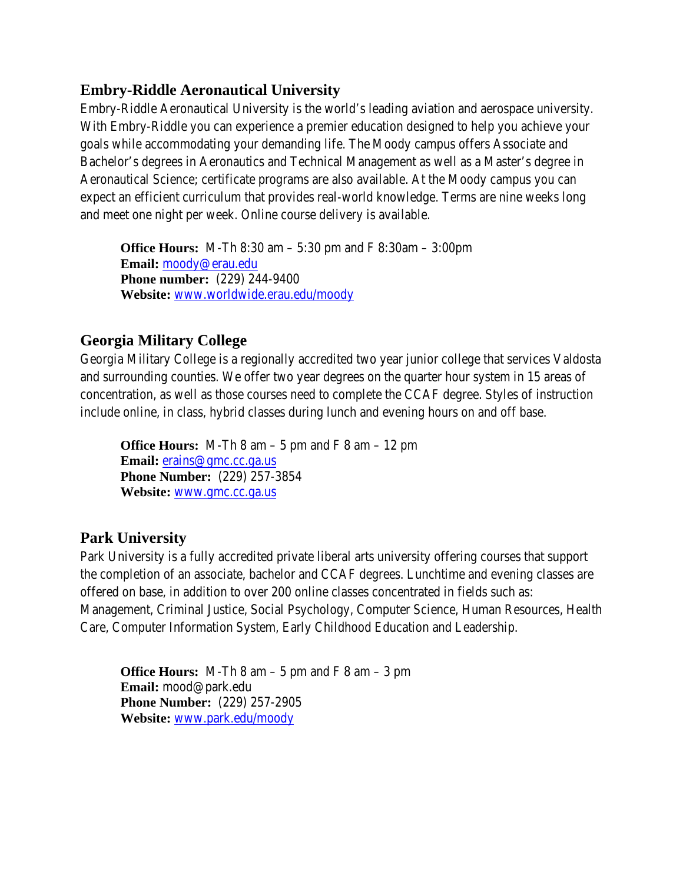# **Embry-Riddle Aeronautical University**

Embry-Riddle Aeronautical University is the world's leading aviation and aerospace university. With Embry-Riddle you can experience a premier education designed to help you achieve your goals while accommodating your demanding life. The Moody campus offers Associate and Bachelor's degrees in Aeronautics and Technical Management as well as a Master's degree in Aeronautical Science; certificate programs are also available. At the Moody campus you can expect an efficient curriculum that provides real-world knowledge. Terms are nine weeks long and meet one night per week. Online course delivery is available.

**Office Hours:** M-Th 8:30 am – 5:30 pm and F 8:30am – 3:00pm  **Email:** moody@erau.edu **Phone number:** (229) 244-9400  **Website:** www.worldwide.erau.edu/moody

# **Georgia Military College**

Georgia Military College is a regionally accredited two year junior college that services Valdosta and surrounding counties. We offer two year degrees on the quarter hour system in 15 areas of concentration, as well as those courses need to complete the CCAF degree. Styles of instruction include online, in class, hybrid classes during lunch and evening hours on and off base.

**Office Hours:** M-Th 8 am  $-5$  pm and F 8 am  $-12$  pm  **Email:** erains@gmc.cc.ga.us  **Phone Number:** (229) 257-3854  **Website:** www.gmc.cc.ga.us

# **Park University**

Park University is a fully accredited private liberal arts university offering courses that support the completion of an associate, bachelor and CCAF degrees. Lunchtime and evening classes are offered on base, in addition to over 200 online classes concentrated in fields such as: Management, Criminal Justice, Social Psychology, Computer Science, Human Resources, Health Care, Computer Information System, Early Childhood Education and Leadership.

**Office Hours:** M-Th  $8 \text{ am} - 5 \text{ pm}$  and  $F \cdot 8 \text{ am} - 3 \text{ pm}$  **Email:** mood@park.edu **Phone Number:** (229) 257-2905  **Website:** www.park.edu/moody